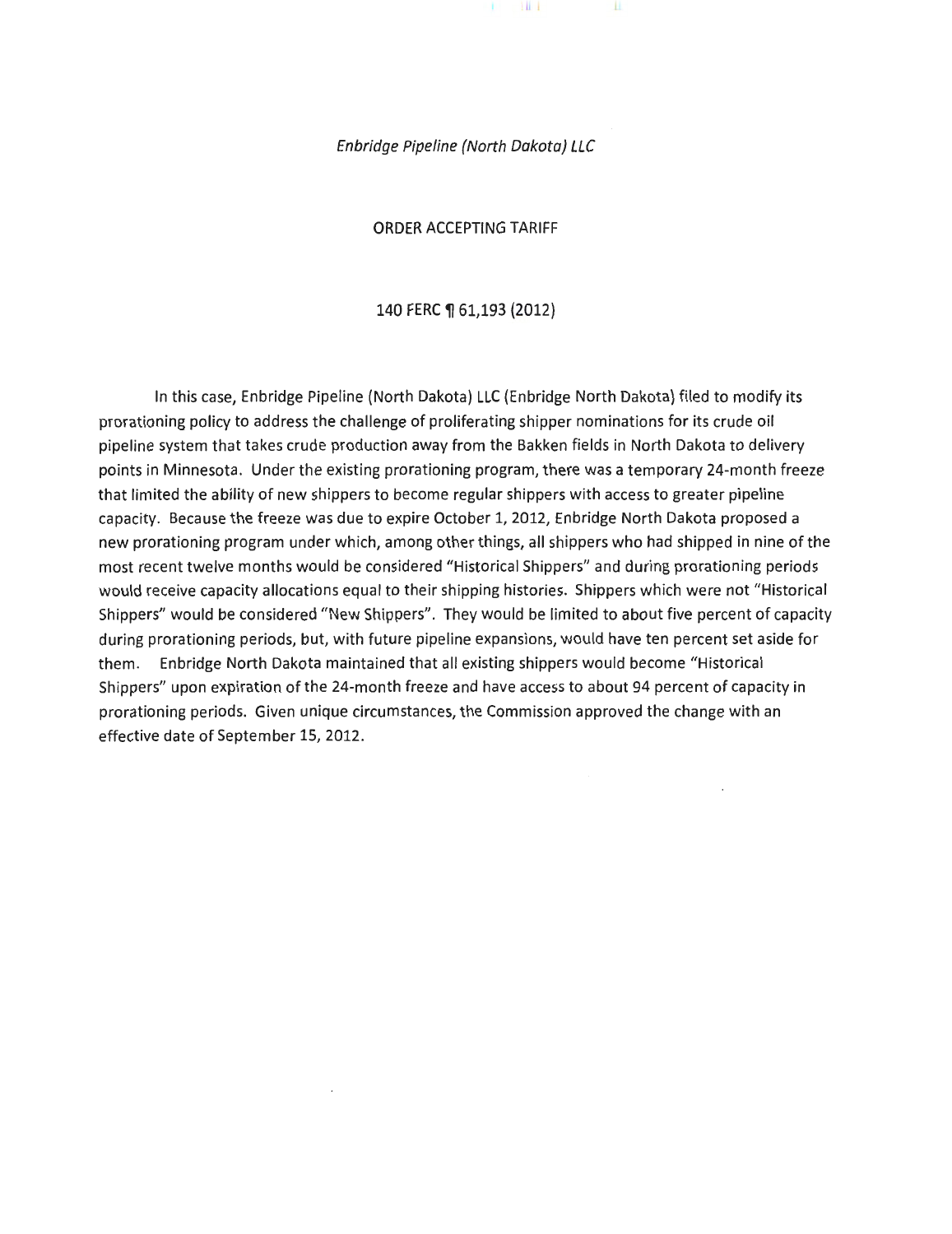Enbridge Pipeline {North Dakota) LLC

×

 $\pm 1$ 

ORDER ACCEPTING TARIFF

#### 140 FERC ¶ 61,193 (2012)

In this case, Enbridge Pipeline (North Dakota) LLC (Enbridge North Dakota) filed to modify its prorationing policy to address the challenge of proliferating shipper nominations for its crude oil pipeline system that takes crude production away from the Bakken fields in North Dakota to delivery points in Minnesota. Under the existing prorationing program, there was a temporary 24-month freeze that limited the ability of new shippers to become regular shippers with access to greater pipeline capacity. Because the freeze was due to expire October 1, 2012, Enbridge North Dakota proposed a new prorationing program under which, among other things, all shippers who had shipped in nine of the most recent twelve months would be considered "Historical Shippers" and during prorationing periods would receive capacity allocations equal to their shipping histories. Shippers which were not "Historical Shippers" would be considered "New Shippers". They would be limited to about five percent of capacity during prorationing periods, but, with future pipeline expansions, would have ten percent set aside for them. Enbridge North Dakota maintained that all existing shippers would become "Historical Shippers" upon expiration of the 24-month freeze and have access to about 94 percent of capacity in prorationing periods. Given unique circumstances, the Commission approved the change with an effective date of September 15, 2012.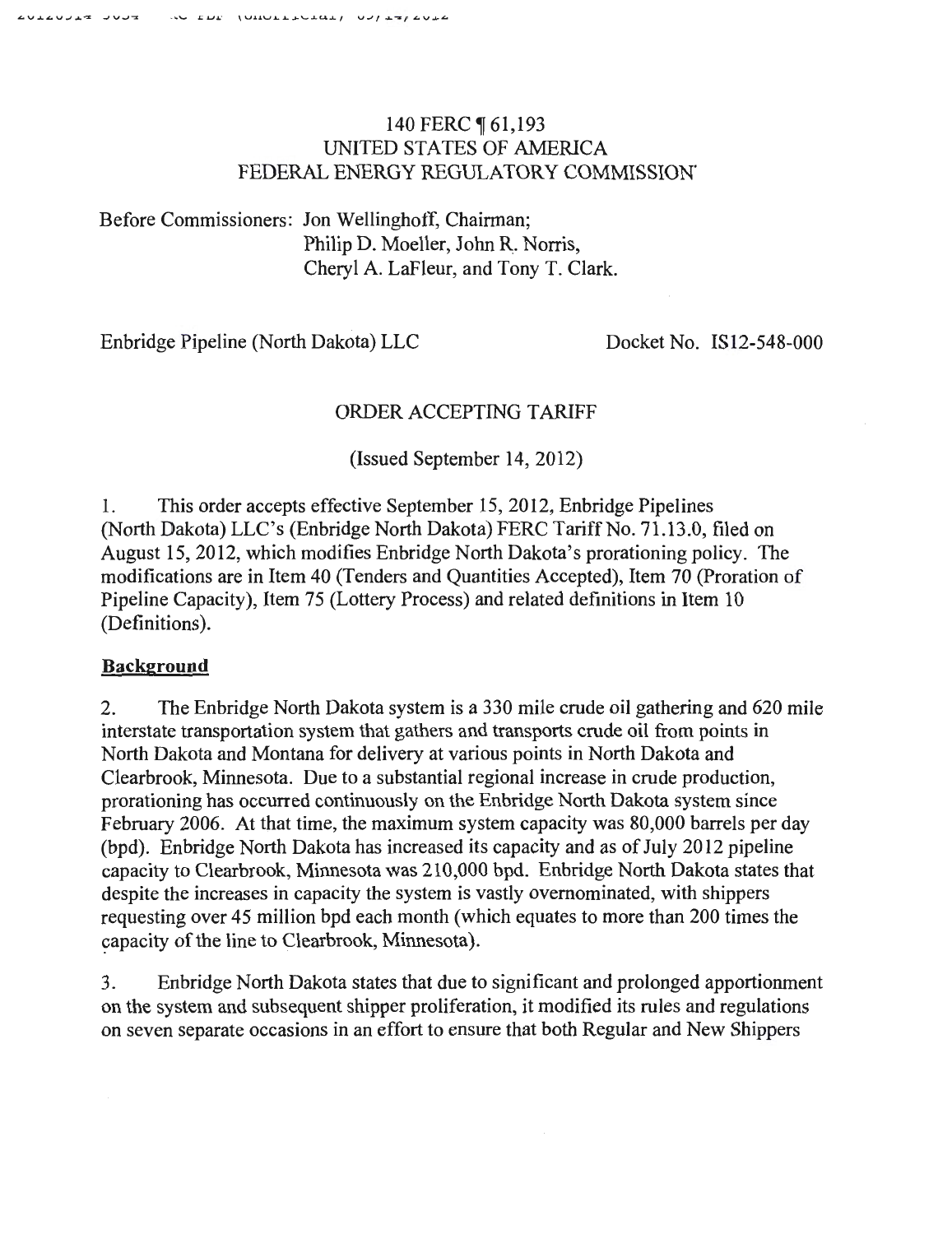# 140 FERC ¶ 61,193 UNITED STATES OF AMERICA FEDERAL ENERGY REGULATORY COMMISSION.

Before Commissioners: Jon Wellinghoff, Chairman; Philip D. Moeller, John R. Norris, Cheryl A. LaFleur, and Tony T. Clark.

Enbridge Pipeline (North Dakota) LLC Docket No. IS12-548-000

# ORDER ACCEPTING TARIFF

(Issued September 14, 2012)

1. This order accepts effective September 15, 2012, Enbridge Pipelines (North Dakota) LLC's (Enbridge North Dakota) FERC Tariff No. 71.13.0, filed on August 15, 2012, which modifies Enbridge North Dakota's prorationing policy. The modifications are in Item 40 (Tenders and Quantities Accepted), Item 70 (Proration of Pipeline Capacity), Item 75 (Lottery Process) and related definitions in Item 10 (Definitions).

## **Background**

2. The Enbridge North Dakota system is a 330 mile crude oil gathering and 620 mile interstate transportation system that gathers and transports crude oil from points in North Dakota and Montana for delivery at various points in North Dakota and Clearbrook, Minnesota. Due to a substantial regional increase in crude production, prorationing has occurred continuously on the Enbridge North Dakota system since February 2006. At that time, the maximum system capacity was 80,000 barrels per day (bpd). Enbridge North Dakota has increased its capacity and as of July 2012 pipeline capacity to Clearbrook, Minnesota was 210,000 bpd. Enbridge North Dakota states that despite the increases in capacity the system is vastly ovemominated, with shippers requesting over 45 million bpd each month (which equates to more than 200 times the capacity of the line to Clearbrook, Minnesota).

3. Enbridge North Dakota states that due to significant and prolonged apportionment on the system and subsequent shipper proliferation, it modified its rules and regulations on seven separate occasions in an effort to ensure that both Regular and New Shippers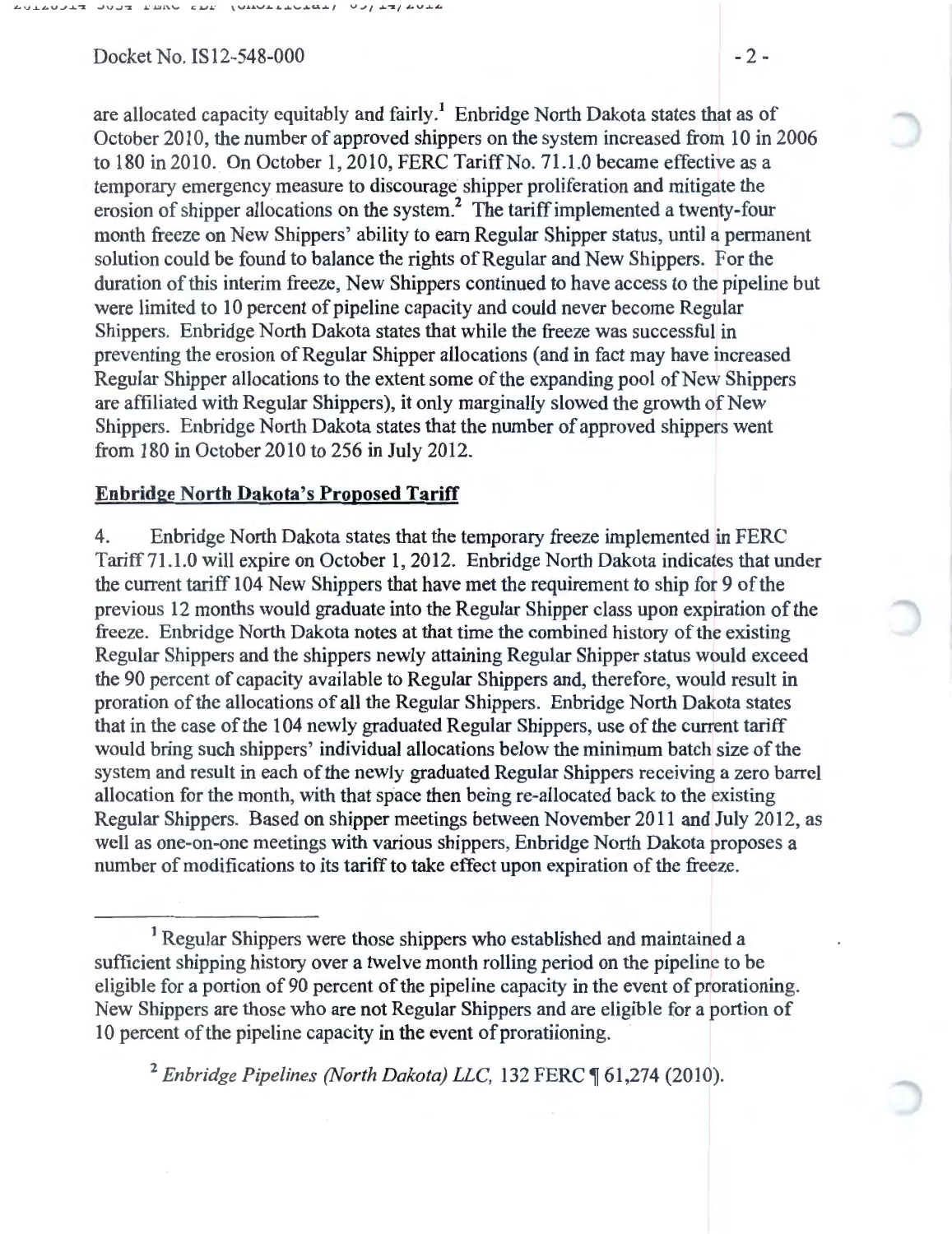Docket No. IS  $12-548-000$  - 2 -

are allocated capacity equitably and fairly.<sup>1</sup> Enbridge North Dakota states that as of October 2010, the number of approved shippers on the system increased from 10 in 2006 to 180 in 2010. On October 1, 2010, FERC Tariff No. 71.1.0 became effective as a temporary emergency measure to discourage· shipper proliferation and mitigate the erosion of shipper allocations on the system? The tariff implemented a twenty-four month freeze on New Shippers' ability to earn Regular Shipper status, until a permanent solution could be found to balance the rights of Regular and New Shippers. For the duration of this interim freeze, New Shippers continued to have access to the pipeline but were limited to 10 percent of pipeline capacity and could never become Regular Shippers. Enbridge North Dakota states that while the freeze was successful in preventing the erosion of Regular Shipper allocations (and in fact may have increased Regular Shipper allocations to the extent some of the expanding pool of New Shippers are affiliated with Regular Shippers), it only marginally slowed the growth of New Shippers. Enbridge North Dakota states that the number of approved shippers went from 180 in October 2010 to 256 in July 2012.

## **Enbridge North Dakota's Proposed Tariff**

4. Enbridge North Dakota states that the temporary freeze implemented in PERC Tariff71.1.0 will expire on October 1, 2012. Enbridge North Dakota indicates that under the current tariff 104 New Shippers that have met the requirement to ship for 9 of the previous 12 months would graduate into the Regular Shipper class upon expiration of the freeze. Enbridge North Dakota notes at that time the combined history of the existing Regular Shippers and the shippers newly attaining Regular Shipper status would exceed the 90 percent of capacity available to Regular Shippers and, therefore, would result in proration of the allocations of all the Regular Shippers. Enbridge North Dakota states that in the case of the 104 newly graduated Regular Shippers, use of the current tariff would bring such shippers' individual allocations below the minimum batch size of the system and result in each of the newly graduated Regular Shippers receiving a zero barrel allocation for the month, with that space then being re-allocated back to the existing Regular Shippers. Based on shipper meetings between November 2011 and July 2012, as well as one-on-one meetings with various shippers, Enbridge North Dakota proposes a number of modifications to its tariff to take effect upon expiration of the freeze.

<sup>1</sup> Regular Shippers were those shippers who established and maintained a sufficient shipping history over a twelve month rolling period on the pipeline to be eligible for a portion of 90 percent of the pipeline capacity in the event of prorationing. New Shippers are those who are not Regular Shippers and are eligible for a portion of 10 percent of the pipeline capacity in the event of proratiioning.

<sup>2</sup> Enbridge Pipelines (North Dakota) LLC, 132 FERC ¶ 61,274 (2010).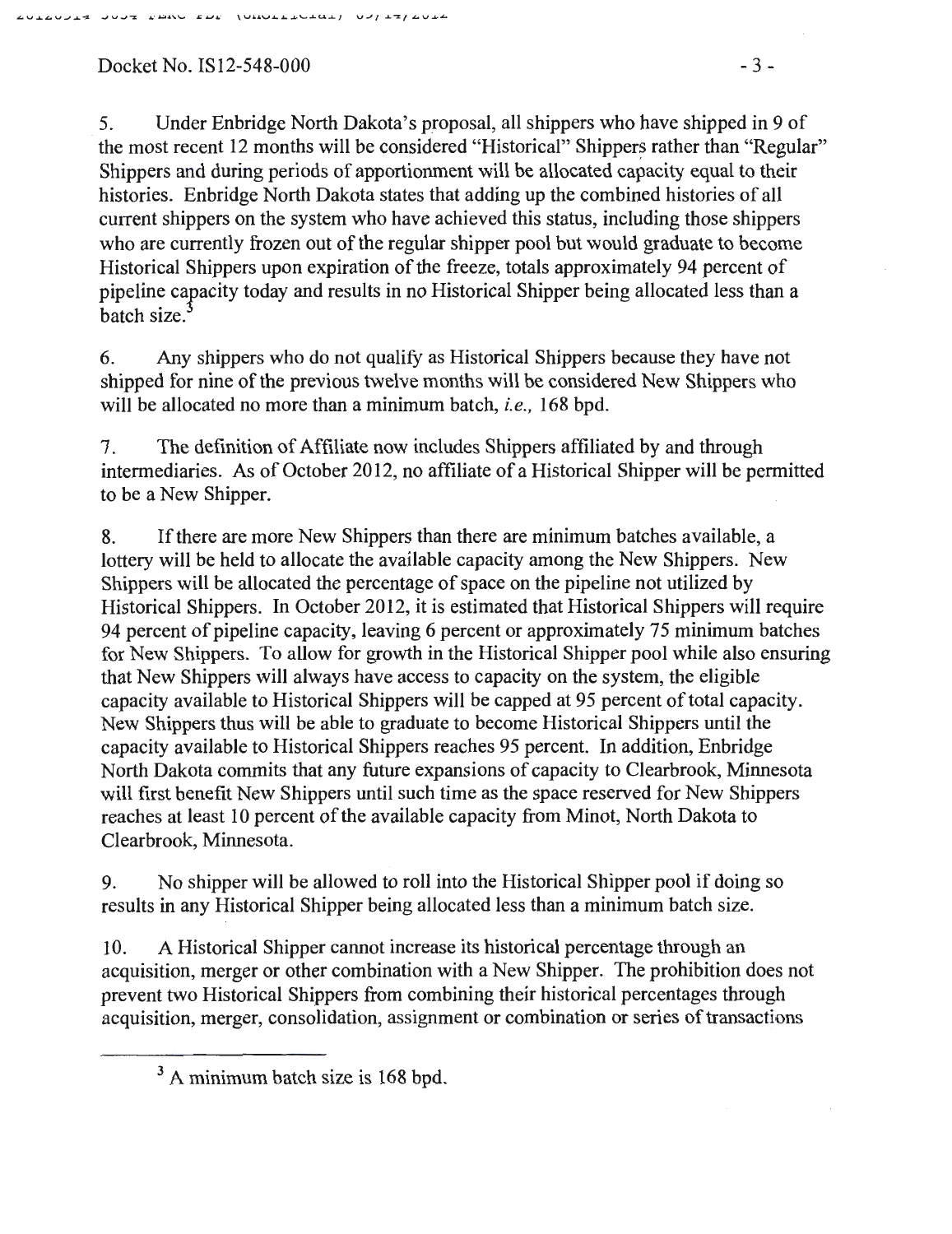# $Docket No. IS12-548-000$  - 3 -

5. Under Enbridge North Dakota's proposal, all shippers who have shipped in 9 of the most recent 12 months will be considered "Historical" Shippers rather than "Regular" Shippers and during periods of apportionment will be allocated capacity equal to their histories. Enbridge North Dakota states that adding up the combined histories of all current shippers on the system who have achieved this status, including those shippers who are currently frozen out of the regular shipper pool but would graduate to become Historical Shippers upon expiration of the freeze, totals approximately 94 percent of pipeline capacity today and results in no Historical Shipper being allocated less than a batch size.

6. Any shippers who do not qualifY as Historical Shippers because they have not shipped for nine of the previous twelve months will be considered New Shippers who will be allocated no more than a minimum batch, *i.e.,* 168 bpd.

7. The definition of Affiliate now includes Shippers affiliated by and through intermediaries. As of October 2012, no affiliate of a Historical Shipper will be permitted to be a New Shipper.

8. If there are more New Shippers than there are minimum batches available, a lottery will be held to allocate the available capacity among the New Shippers. New Shippers will be allocated the percentage of space on the pipeline not utilized by Historical Shippers. In October 2012, it is estimated that Historical Shippers will require 94 percent of pipeline capacity, leaving 6 percent or approximately 75 minimum batches for New Shippers. To allow for growth in the Historical Shipper pool while also ensuring that New Shippers will always have access to capacity on the system, the eligible capacity available to Historical Shippers will be capped at 95 percent of total capacity. New Shippers thus will be able to graduate to become Historical Shippers until the capacity available to Historical Shippers reaches 95 percent. In addition, Enbridge North Dakota commits that any future expansions of capacity to Clearbrook, Minnesota will first benefit New Shippers until such time as the space reserved for New Shippers reaches at least 10 percent of the available capacity from Minot, North Dakota to Clearbrook, Minnesota.

9. No shipper will be allowed to roll into the Historical Shipper pool if doing so results in any Historical Shipper being allocated less than a minimum batch size.

10. A Historical Shipper cannot increase its historical percentage through an acquisition, merger or other combination with a New Shipper. The prohibition does not prevent two Historical Shippers from combining their historical percentages through acquisition, merger, consolidation, assignment or combination or series of transactions

<sup>&</sup>lt;sup>3</sup> A minimum batch size is 168 bpd.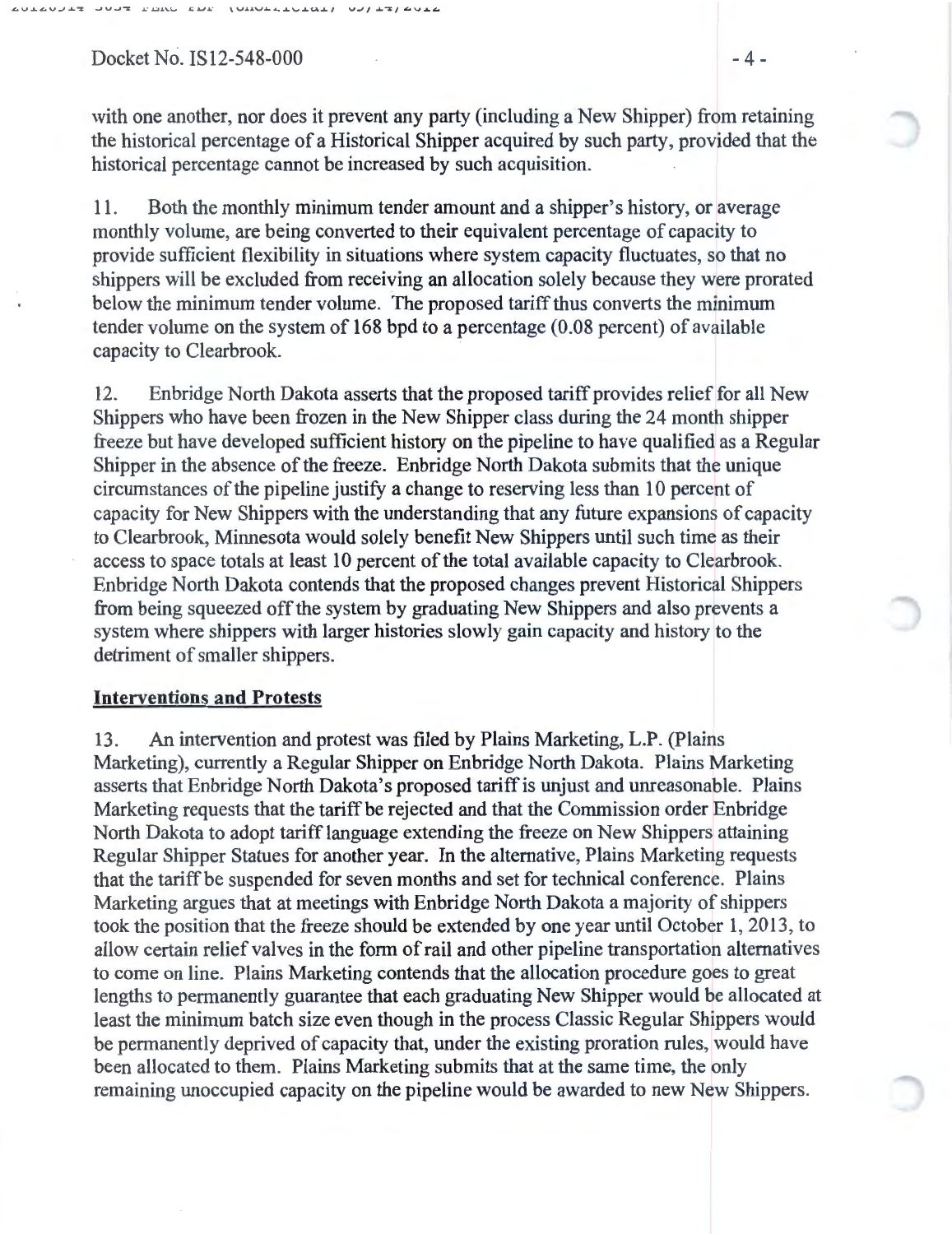$Docket No. IS12-548-000$   $-4-$ 

with one another, nor does it prevent any party (including a New Shipper) from retaining the historical percentage of a Historical Shipper acquired by such party, provided that the historical percentage cannot be increased by such acquisition.

11. Both the monthly minimum tender amount and a shipper's history, or average monthly volume, are being converted to their equivalent percentage of capacity to provide sufficient flexibility in situations where system capacity fluctuates, so that no shippers will be excluded from receiving an allocation solely because they were prorated below the minimum tender volume. The proposed tariff thus converts the minimum tender volume on the system of 168 bpd to a percentage (0.08 percent) of available capacity to Clearbrook.

12. Enbridge North Dakota asserts that the proposed tariff provides relief for all New Shippers who have been frozen in the New Shipper class during the 24 month shipper freeze but have developed sufficient history on the pipeline to have qualified as a Regular Shipper in the absence of the freeze. Enbridge North Dakota submits that the unique circumstances of the pipeline justify a change to reserving less than 10 percent of capacity for New Shippers with the understanding that any future expansions of capacity to Clearbrook, Minnesota would solely benefit New Shippers until such time as their access to space totals at least 10 percent of the total available capacity to Clearbrook. Enbridge North Dakota contends that the proposed changes prevent Historical Shippers from being squeezed off the system by graduating New Shippers and also prevents a system where shippers with larger histories slowly gain capacity and history to the detriment of smaller shippers.

### Interventions and Protests

13. An intervention and protest was filed by Plains Marketing, L.P. (Plains Marketing), currently a Regular Shipper on Enbridge North Dakota. Plains Marketing asserts that Enbridge North Dakota's proposed tariff is unjust and unreasonable. Plains Marketing requests that the tariff be rejected and that the Commission order Enbridge North Dakota to adopt tariff language extending the freeze on New Shippers attaining Regular Shipper Statues for another year. In the alternative, Plains Marketing requests that the tariff be suspended for seven months and set for technical conference. Plains Marketing argues that at meetings with Enbridge North Dakota a majority of shippers took the position that the freeze should be extended by one year until October 1, 2013, to allow certain relief valves in the form of rail and other pipeline transportation alternatives to come on line. Plains Marketing contends that the allocation procedure goes to great lengths to permanently guarantee that each graduating New Shipper would be allocated at least the minimum batch size even though in the process Classic Regular Shippers would be permanently deprived of capacity that, under the existing proration rules, would have been allocated to them. Plains Marketing submits that at the same time, the only remaining unoccupied capacity on the pipeline would be awarded to new New Shippers.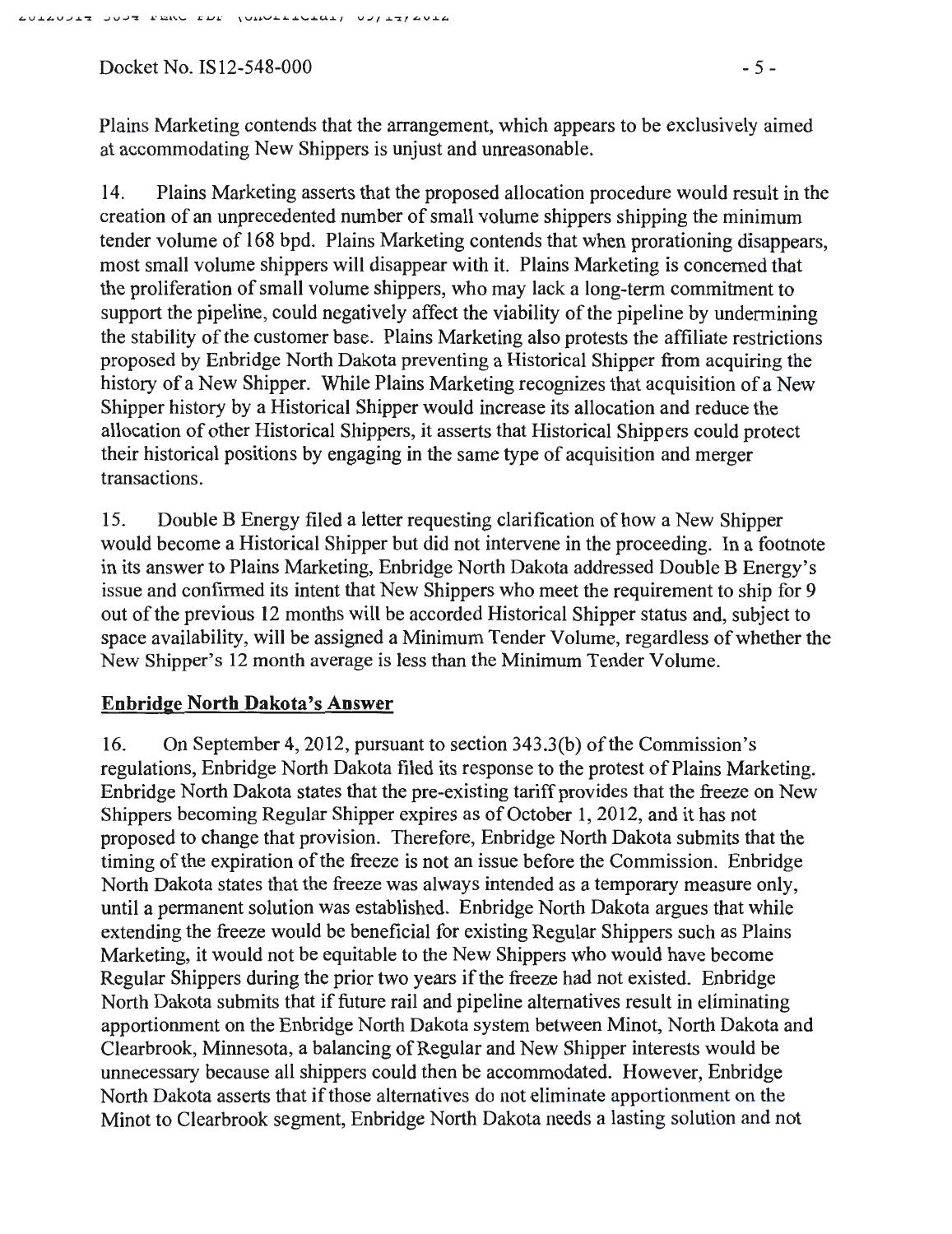Docket No.  $IS12-548-000$  - 5 -

Plains Marketing contends that the arrangement, which appears to be exclusively aimed at accommodating New Shippers is unjust and unreasonable.

14. Plains Marketing asserts that the proposed allocation procedure would result in the creation of an unprecedented number of small volume shippers shipping the minimum tender volume of 168 bpd. Plains Marketing contends that when prorationing disappears, most small volume shippers will disappear with it. Plains Marketing is concerned that the proliferation of small volume shippers, who may lack a long-term commitment to support the pipeline, could negatively affect the viability of the pipeline by undermining the stability of the customer base. Plains Marketing also protests the affiliate restrictions proposed by Enbridge North Dakota preventing a Historical Shipper from acquiring the history of a New Shipper. While Plains Marketing recognizes that acquisition of a New Shipper history by a Historical Shipper would increase its allocation and reduce the allocation of other Historical Shippers, it asserts that Historical Shippers could protect their historical positions by engaging in the same type of acquisition and merger transactions.

15. Double B Energy filed a letter requesting clarification of how a New Shipper would become a Historical Shipper but did not intervene in the proceeding. In a footnote in its answer to Plains Marketing, Enbridge North Dakota addressed Double B Energy's issue and confirmed its intent that New Shippers who meet the requirement to ship for 9 out of the previous 12 months will be accorded Historical Shipper status and, subject to space availability, will be assigned a Minimum Tender Volume, regardless of whether the New Shipper's 12 month average is less than the Minimum Tender Volume.

# **Enbridge North Dakota's Answer**

16. On September 4, 2012, pursuant to section 343.3(b) of the Commission's regulations, Enbridge North Dakota filed its response to the protest of Plains Marketing. Enbridge North Dakota states that the pre-existing tariff provides that the freeze on New Shippers becoming Regular Shipper expires as of October **1,** 2012, and it has not proposed to change that provision. Therefore, Enbridge North Dakota submits that the timing of the expiration of the freeze is not an issue before the Commission. Enbridge North Dakota states that the freeze was always intended as a temporary measure only, until a permanent solution was established. Enbridge North Dakota argues that while extending the freeze would be beneficial for existing Regular Shippers such as Plains Marketing, it would not be equitable to the New Shippers who would have become Regular Shippers during the prior two years if the freeze had not existed. Enbridge North Dakota submits that if future rail and pipeline alternatives result in eliminating apportionment on the Enbridge North Dakota system between Minot, North Dakota and Clearbrook, Minnesota, a balancing of Regular and New Shipper interests would be unnecessary because all shippers could then be accommodated. However, Enbridge North Dakota asserts that if those alternatives do not eliminate apportionment on the Minot to Clearbrook segment, Enbridge North Dakota needs a lasting solution and not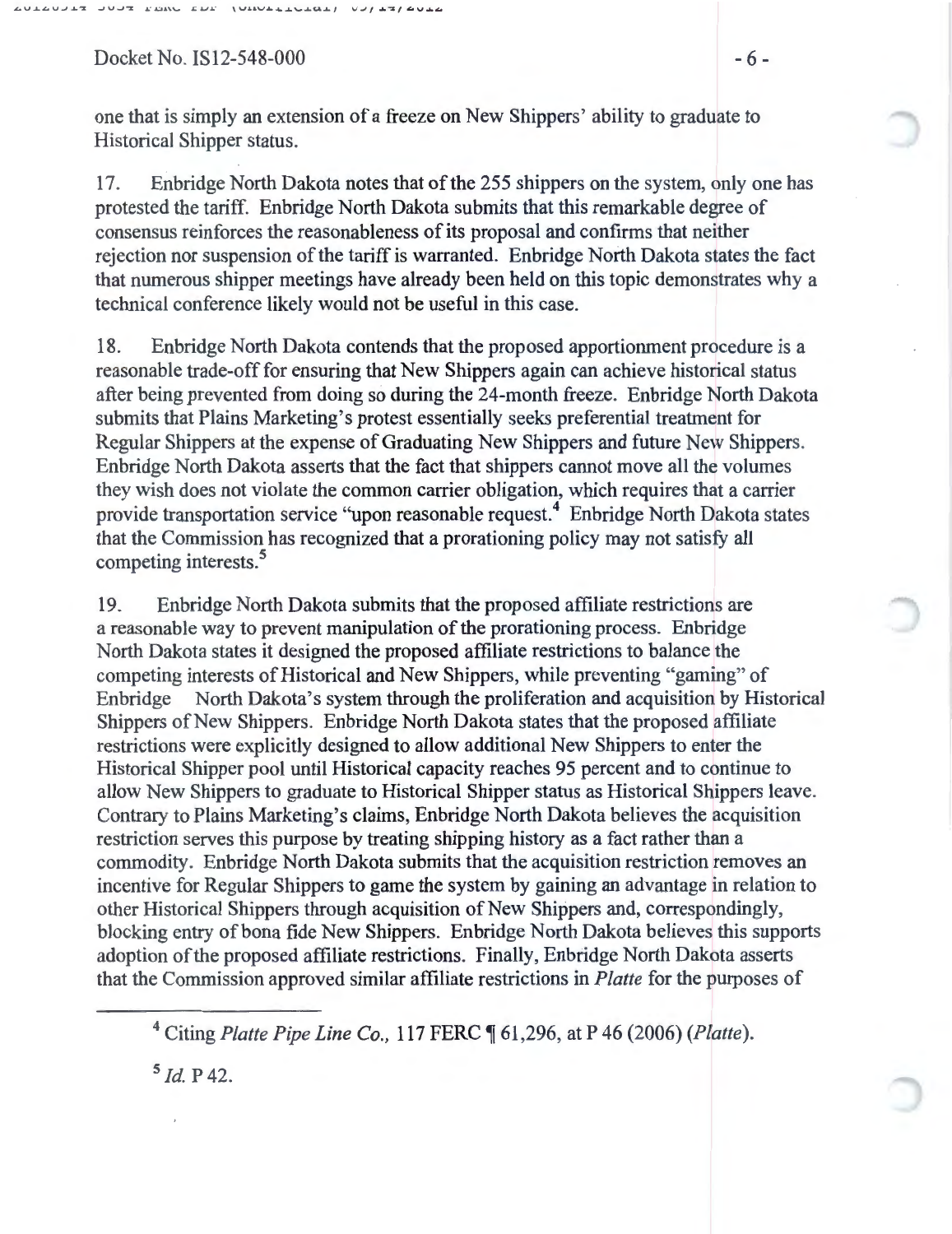$Docket No. IS12-548-000$  - 6 -

one that is simply an extension of a freeze on New Shippers' ability to graduate to Historical Shipper status.

17. Enbridge North Dakota notes that of the 255 shippers on the system, only one has protested the tariff. Enbridge North Dakota submits that this remarkable degree of consensus reinforces the reasonableness of its proposal and confirms that neither rejection nor suspension of the tariff is warranted. Enbridge North Dakota states the fact that numerous shipper meetings have already been held on this topic demonstrates why a technical conference likely would not be useful in this case.

18. Enbridge North Dakota contends that the proposed apportionment procedure is a reasonable trade-off for ensuring that New Shippers again can achieve historical status after being prevented from doing so during the 24-month freeze. Enbridge North Dakota submits that Plains Marketing's protest essentially seeks preferential treatment for Regular Shippers at the expense of Graduating New Shippers and future New Shippers. Enbridge North Dakota asserts that the fact that shippers cannot move all the volumes they wish does not violate the common carrier obligation, which requires that a carrier provide transportation service "upon reasonable request.4 Enbridge North Dakota states that the Commission has recognized that a prorationing policy may not satisfy all competing interests.<sup>5</sup>

19. Enbridge North Dakota submits that the proposed affiliate restrictions are a reasonable way to prevent manipulation of the prorationing process. Enbridge North Dakota states it designed the proposed affiliate restrictions to balance the competing interests of Historical and New Shippers, while preventing "gaming" of Enbridge North Dakota's system through the proliferation and acquisition by Historical Shippers of New Shippers. Enbridge North Dakota states that the proposed affiliate restrictions were explicitly designed to allow additional New Shippers to enter the Historical Shipper pool until Historical capacity reaches 95 percent and to continue to allow New Shippers to graduate to Historical Shipper status as Historical Shippers leave. Contrary to Plains Marketing's claims, Enbridge North Dakota believes the acquisition restriction serves this purpose by treating shipping history as a fact rather than a commodity. Enbridge North Dakota submits that the acquisition restriction removes an incentive for Regular Shippers to game the system by gaining an advantage in relation to other Historical Shippers through acquisition of New Shippers and, correspondingly, blocking entry of bona fide New Shippers. Enbridge North Dakota believes this supports adoption of the proposed affiliate restrictions. Finally, Enbridge North Dakota asserts that the Commission approved similar affiliate restrictions in *Platte* for the purposes of

<sup>5</sup>*!d.* p 42.

<sup>&</sup>lt;sup>4</sup> Citing *Platte Pipe Line Co.*, 117 FERC ¶ 61,296, at P 46 (2006) (*Platte*).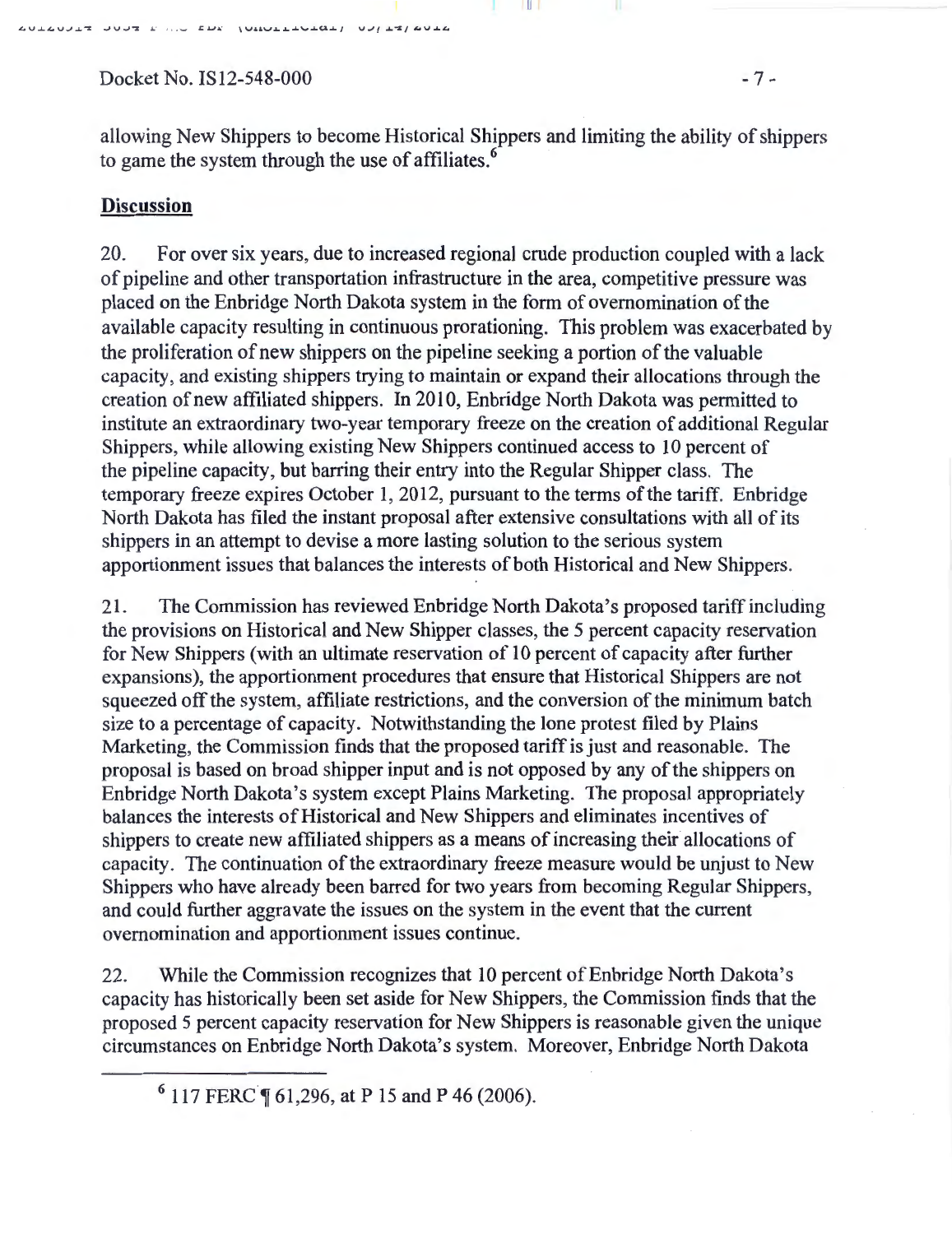AULAUJET JUJE E AN EDE (UNULLEULAL) UJ/ET/AULA

Docket No. IS12-548-000 - 7 -

allowing New Shippers to become Historical Shippers and limiting the ability of shippers to game the system through the use of affiliates.<sup>6</sup>

## **Discussion**

20. For over six years, due to increased regional crude production coupled with a lack of pipeline and other transportation infrastructure in the area, competitive pressure was placed on the Enbridge North Dakota system in the form of ovemomination of the available capacity resulting in continuous prorationing. This problem was exacerbated by the proliferation of new shippers on the pipeline seeking a portion of the valuable capacity, and existing shippers trying to maintain or expand their allocations through the creation of new affiliated shippers. In 2010, Enbridge North Dakota was permitted to institute an extraordinary two-year temporary freeze on the creation of additional Regular Shippers, while allowing existing New Shippers continued access to 10 percent of the pipeline capacity, but barring their entry into the Regular Shipper class. The temporary freeze expires October 1, 2012, pursuant to the terms of the tariff. Enbridge North Dakota has filed the instant proposal after extensive consultations with all of its shippers in an attempt to devise a more lasting solution to the serious system apportionment issues that balances the interests of both Historical and New Shippers.

21. The Commission has reviewed Enbridge North Dakota's proposed tariff including the provisions on Historical and New Shipper classes, the 5 percent capacity reservation for New Shippers (with an ultimate reservation of 10 percent of capacity after further expansions), the apportionment procedures that ensure that Historical Shippers are not squeezed off the system, affiliate restrictions, and the conversion of the minimum batch size to a percentage of capacity. Notwithstanding the lone protest filed by Plains Marketing, the Commission finds that the proposed tariff is just and reasonable. The proposal is based on broad shipper input and is not opposed by any of the shippers on Enbridge North Dakota's system except Plains Marketing. The proposal appropriately balances the interests of Historical and New Shippers and eliminates incentives of shippers to create new affiliated shippers as a means of increasing their allocations of capacity. The continuation of the extraordinary freeze measure would be unjust to New Shippers who have already been barred for two years from becoming Regular Shippers, and could further aggravate the issues on the system in the event that the current ovemomination and apportionment issues continue.

22. While the Commission recognizes that 10 percent of Enbridge North Dakota's capacity has historically been set aside for New Shippers, the Commission finds that the proposed 5 percent capacity reservation for New Shippers is reasonable given the unique circumstances on Enbridge North Dakota's system. Moreover, Enbridge North Dakota

 $6$  117 FERC  $\P$  61,296, at P 15 and P 46 (2006).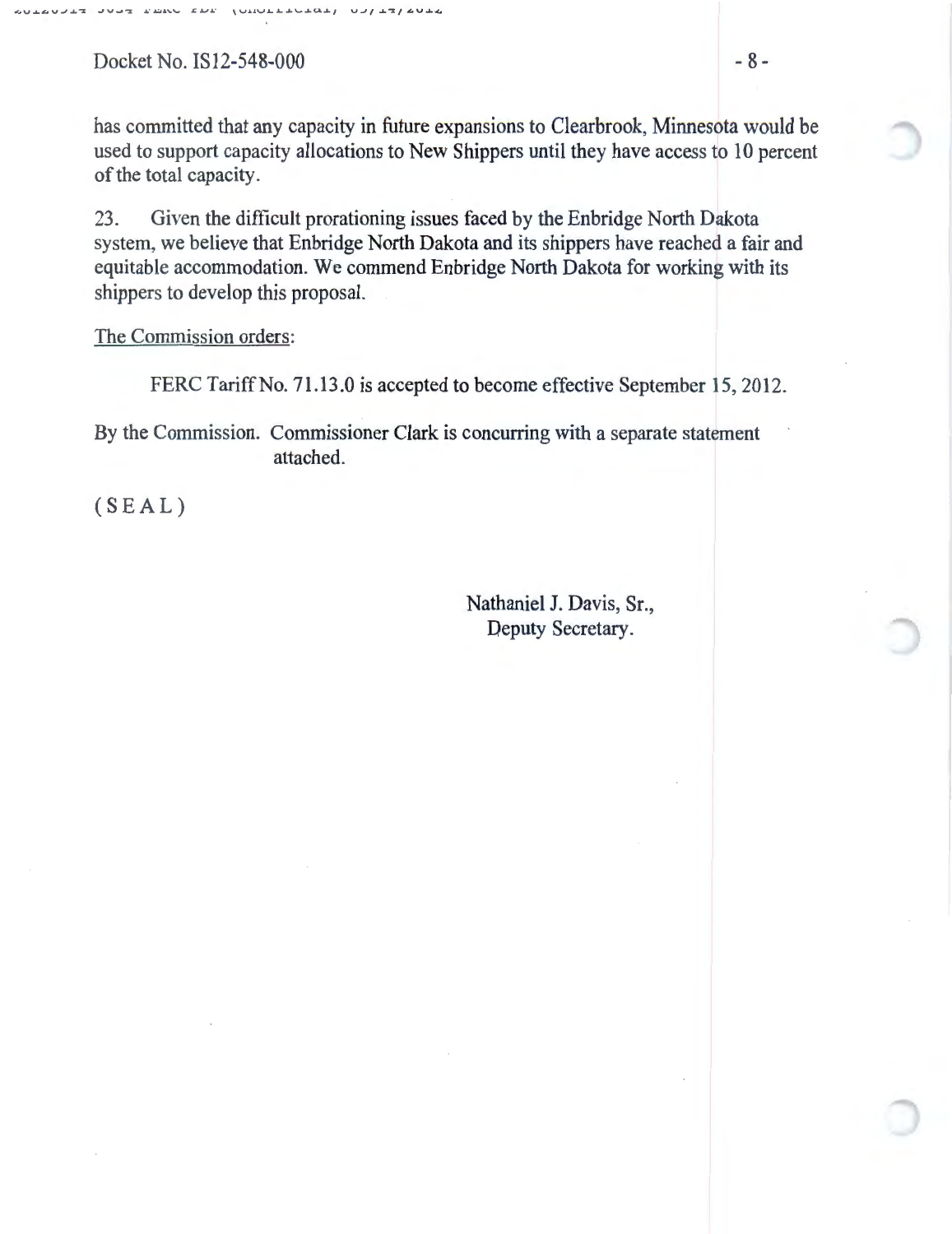$Docket No. IS12-548-000$   $-8-$ 

has committed that any capacity in future expansions to Clearbrook, Minnesota would be used to support capacity allocations to New Shippers until they have access to 10 percent of the total capacity.

23. Given the difficult prorationing issues faced by the Enbridge North Dakota system, we believe that Enbridge North Dakota and its shippers have reached a fair and equitable accommodation. We commend Enbridge North Dakota for working with its shippers to develop this proposal.

The Commission orders:

FERC Tariff No. 71.13.0 is accepted to become effective September 15, 2012.

By the Commission. Commissioner Clark is concurring with a separate statement attached.

(SEAL)

Nathaniel J. Davis, Sr., Deputy Secretary.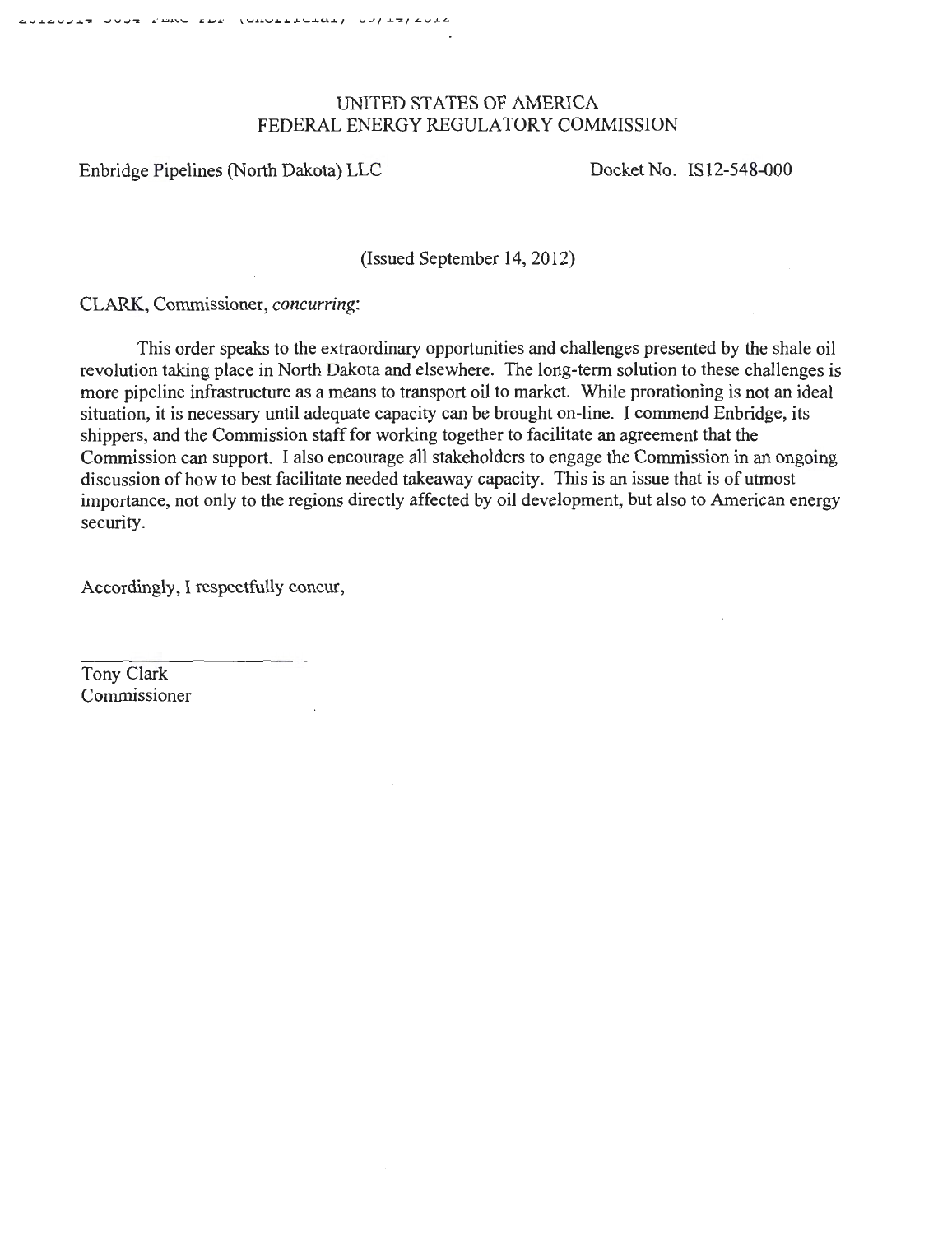### UNITED STATES OF AMERICA FEDERAL ENERGY REGULATORY COMMISSION

Enbridge Pipelines (North Dakota) LLC Docket No. IS12-548-000

(Issued September 14, 2012)

CLARK, Commissioner, *concurring:* 

This order speaks to the extraordinary opportunities and challenges presented by the shale oil revolution taking place in North Dakota and elsewhere. The long-term solution to these challenges is more pipeline infrastructure as a means to transport oil to market. While prorationing is not an ideal situation, it is necessary until adequate capacity can be brought on-line. I commend Enbridge, its shippers, and the Commission staff for working together to facilitate an agreement that the Commission can support. I also encourage all stakeholders to engage the Commission in an ongoing discussion of how to best facilitate needed takeaway capacity. This is an issue that is of utmost importance, not only to the regions directly affected by oil development, but also to American energy security.

Accordingly, I respectfully concur,

Tony Clark Commissioner